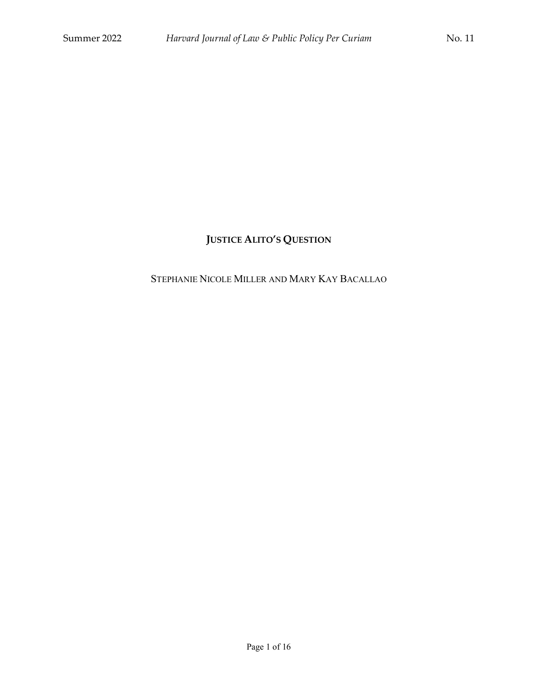# **JUSTICE ALITO'S QUESTION**

## STEPHANIE NICOLE MILLER AND MARY KAY BACALLAO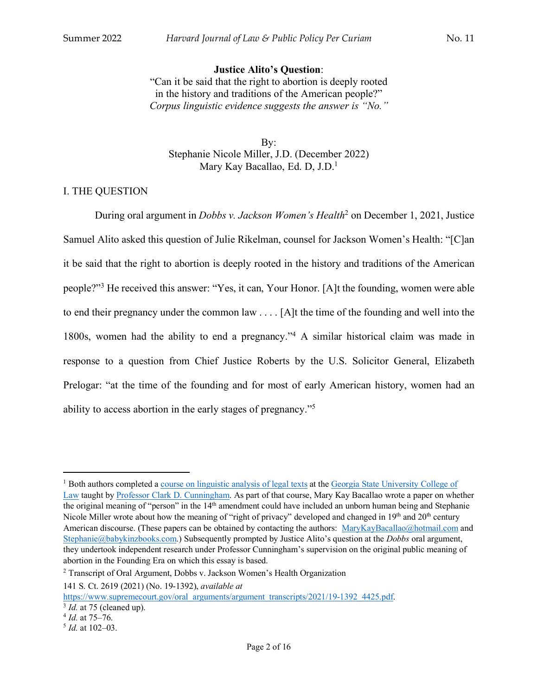## **Justice Alito's Question**:

"Can it be said that the right to abortion is deeply rooted in the history and traditions of the American people?" *Corpus linguistic evidence suggests the answer is "No."*

By: Stephanie Nicole Miller, J.D. (December 2022) Mary Kay Bacallao, Ed. D, J.D.1

## I. THE QUESTION

During oral argument in *Dobbs v. Jackson Women's Health*<sup>2</sup> on December 1, 2021, Justice Samuel Alito asked this question of Julie Rikelman, counsel for Jackson Women's Health: "[C]an it be said that the right to abortion is deeply rooted in the history and traditions of the American people?"3 He received this answer: "Yes, it can, Your Honor. [A]t the founding, women were able to end their pregnancy under the common law . . . . [A]t the time of the founding and well into the 1800s, women had the ability to end a pregnancy."4 A similar historical claim was made in response to a question from Chief Justice Roberts by the U.S. Solicitor General, Elizabeth Prelogar: "at the time of the founding and for most of early American history, women had an ability to access abortion in the early stages of pregnancy."5

 $\overline{\phantom{a}}$ 

<sup>&</sup>lt;sup>1</sup> Both authors completed a course on linguistic analysis of legal texts at the Georgia State University College of Law taught by Professor Clark D. Cunningham. As part of that course, Mary Kay Bacallao wrote a paper on whether the original meaning of "person" in the 14th amendment could have included an unborn human being and Stephanie Nicole Miller wrote about how the meaning of "right of privacy" developed and changed in  $19<sup>th</sup>$  and  $20<sup>th</sup>$  century American discourse. (These papers can be obtained by contacting the authors: MaryKayBacallao@hotmail.com and Stephanie@babykinzbooks.com.) Subsequently prompted by Justice Alito's question at the *Dobbs* oral argument, they undertook independent research under Professor Cunningham's supervision on the original public meaning of abortion in the Founding Era on which this essay is based.

<sup>2</sup> Transcript of Oral Argument, Dobbs v. Jackson Women's Health Organization

<sup>141</sup> S. Ct. 2619 (2021) (No. 19-1392), *available at* 

https://www.supremecourt.gov/oral\_arguments/argument\_transcripts/2021/19-1392\_4425.pdf. <sup>3</sup> *Id.* at 75 (cleaned up).

<sup>4</sup> *Id.* at 75–76.

<sup>5</sup> *Id.* at 102–03.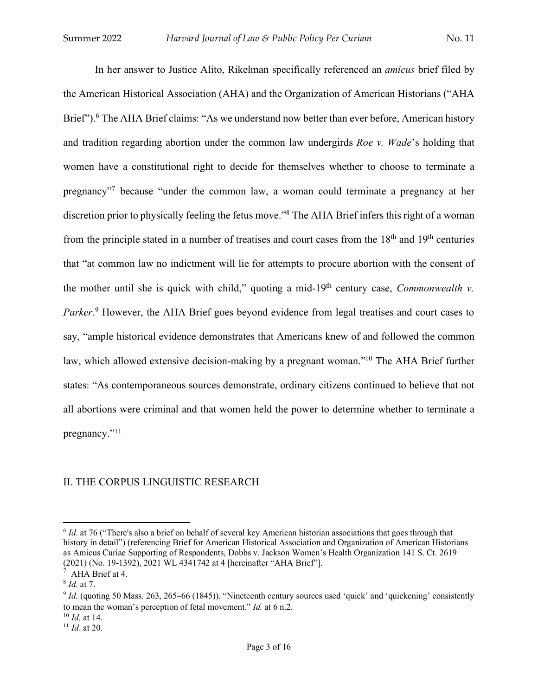In her answer to Justice Alito, Rikelman specifically referenced an *amicus* brief filed by the American Historical Association (AHA) and the Organization of American Historians ("AHA Brief").<sup>6</sup> The AHA Brief claims: "As we understand now better than ever before, American history and tradition regarding abortion under the common law undergirds *Roe v. Wade*'s holding that women have a constitutional right to decide for themselves whether to choose to terminate a pregnancy"7 because "under the common law, a woman could terminate a pregnancy at her discretion prior to physically feeling the fetus move."8 The AHA Brief infers this right of a woman from the principle stated in a number of treatises and court cases from the  $18<sup>th</sup>$  and  $19<sup>th</sup>$  centuries that "at common law no indictment will lie for attempts to procure abortion with the consent of the mother until she is quick with child," quoting a mid-19th century case, *Commonwealth v.*  Parker.<sup>9</sup> However, the AHA Brief goes beyond evidence from legal treatises and court cases to say, "ample historical evidence demonstrates that Americans knew of and followed the common law, which allowed extensive decision-making by a pregnant woman."<sup>10</sup> The AHA Brief further states: "As contemporaneous sources demonstrate, ordinary citizens continued to believe that not all abortions were criminal and that women held the power to determine whether to terminate a pregnancy."11

#### II. THE CORPUS LINGUISTIC RESEARCH

 $\overline{a}$ 

<sup>&</sup>lt;sup>6</sup> *Id.* at 76 ("There's also a brief on behalf of several key American historian associations that goes through that history in detail") (referencing Brief for American Historical Association and Organization of American Historians as Amicus Curiae Supporting of Respondents, Dobbs v. Jackson Women's Health Organization 141 S. Ct. 2619 (2021) (No. 19-1392), 2021 WL 4341742 at 4 [hereinafter "AHA Brief"].

<sup>&</sup>lt;sup>7</sup> AHA Brief at 4.<br><sup>8</sup> *Id*. at 7.<br>9 *Id.* (quoting 50 Mass. 263, 265–66 (1845)). "Nineteenth century sources used 'quick' and 'quickening' consistently to mean the woman's perception of fetal movement." *Id.* at 6 n.2.

<sup>10</sup> *Id.* at 14.

<sup>11</sup> *Id*. at 20.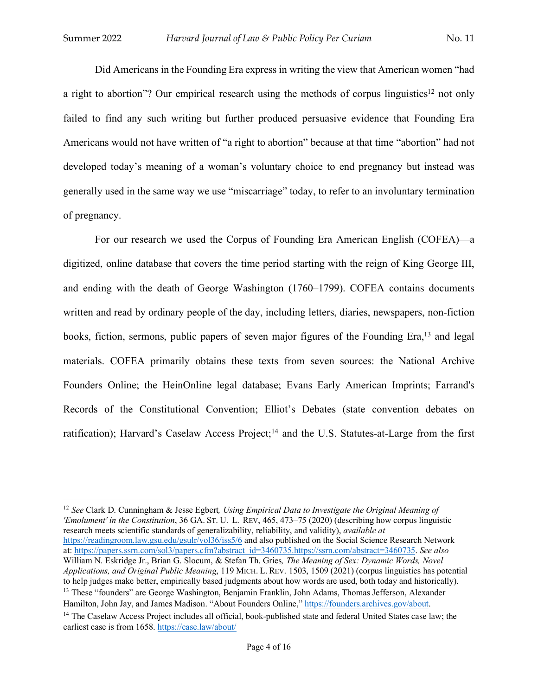Did Americans in the Founding Era express in writing the view that American women "had a right to abortion"? Our empirical research using the methods of corpus linguistics<sup>12</sup> not only failed to find any such writing but further produced persuasive evidence that Founding Era Americans would not have written of "a right to abortion" because at that time "abortion" had not developed today's meaning of a woman's voluntary choice to end pregnancy but instead was generally used in the same way we use "miscarriage" today, to refer to an involuntary termination of pregnancy.

For our research we used the Corpus of Founding Era American English (COFEA)—a digitized, online database that covers the time period starting with the reign of King George III, and ending with the death of George Washington (1760–1799). COFEA contains documents written and read by ordinary people of the day, including letters, diaries, newspapers, non-fiction books, fiction, sermons, public papers of seven major figures of the Founding Era,<sup>13</sup> and legal materials. COFEA primarily obtains these texts from seven sources: the National Archive Founders Online; the HeinOnline legal database; Evans Early American Imprints; Farrand's Records of the Constitutional Convention; Elliot's Debates (state convention debates on ratification); Harvard's Caselaw Access Project;<sup>14</sup> and the U.S. Statutes-at-Large from the first

l <sup>12</sup> *See* Clark D. Cunningham & Jesse Egbert*, Using Empirical Data to Investigate the Original Meaning of 'Emolument' in the Constitution*, 36 GA. ST. U. L. REV, 465, 473–75 (2020) (describing how corpus linguistic research meets scientific standards of generalizability, reliability, and validity), *available at* https://readingroom.law.gsu.edu/gsulr/vol36/iss5/6 and also published on the Social Science Research Network at: https://papers.ssrn.com/sol3/papers.cfm?abstract\_id=3460735.https://ssrn.com/abstract=3460735. *See also* William N. Eskridge Jr., Brian G. Slocum, & Stefan Th. Gries*, The Meaning of Sex: Dynamic Words, Novel Applications, and Original Public Meaning*, 119 MICH. L. REV. 1503, 1509 (2021) (corpus linguistics has potential to help judges make better, empirically based judgments about how words are used, both today and historical  $13$  These "founders" are George Washington, Benjamin Franklin, John Adams, Thomas Jefferson, Alexander Hamilton. John Jay, and James Madison. "About Founders Online," https://founders.archives.gov/about. <sup>14</sup> The Caselaw Access Project includes all official, book-published state and federal United States case law; the

earliest case is from 1658. https://case.law/about/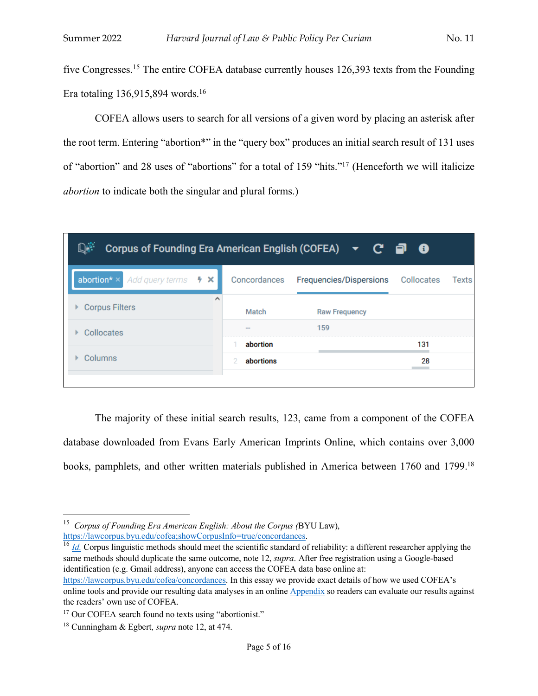five Congresses.<sup>15</sup> The entire COFEA database currently houses 126,393 texts from the Founding Era totaling 136,915,894 words.<sup>16</sup>

COFEA allows users to search for all versions of a given word by placing an asterisk after the root term. Entering "abortion\*" in the "query box" produces an initial search result of 131 uses of "abortion" and 28 uses of "abortions" for a total of 159 "hits."17 (Henceforth we will italicize *abortion* to indicate both the singular and plural forms.)

| D÷.<br>Corpus of Founding Era American English (COFEA) $\blacktriangledown$ $\mathbb{C}$ $\Box$ $\Theta$ |                   |                                    |     |       |  |  |
|----------------------------------------------------------------------------------------------------------|-------------------|------------------------------------|-----|-------|--|--|
| abortion* ×<br>Add query terms $\rightarrow \times$                                                      | Concordances      | Frequencies/Dispersions Collocates |     | Texts |  |  |
| $\wedge$<br><b>Corpus Filters</b>                                                                        | Match             | <b>Raw Frequency</b>               |     |       |  |  |
| Collocates                                                                                               | $- -$<br>abortion | 159                                | 131 |       |  |  |
| Columns                                                                                                  | abortions         |                                    | 28  |       |  |  |
|                                                                                                          |                   |                                    |     |       |  |  |

The majority of these initial search results, 123, came from a component of the COFEA database downloaded from Evans Early American Imprints Online, which contains over 3,000 books, pamphlets, and other written materials published in America between 1760 and 1799.<sup>18</sup>

 $\overline{a}$ 

<sup>&</sup>lt;sup>15</sup> *Corpus of Founding Era American English: About the Corpus (BYU Law),* https://lawcorpus.byu.edu/cofea;showCorpusInfo=true/concordances.

 $h<sup>16</sup>$  *Id.* Corpus linguistic methods should meet the scientific standard of reliability: a different researcher applying the same methods should duplicate the same outcome, note 12, *supra*. After free registration using a Google-based identification (e.g. Gmail address), anyone can access the COFEA data base online at:

https://lawcorpus.byu.edu/cofea/concordances. In this essay we provide exact details of how we used COFEA's online tools and provide our resulting data analyses in an online Appendix so readers can evaluate our results against the readers' own use of COFEA.

<sup>&</sup>lt;sup>17</sup> Our COFEA search found no texts using "abortionist."

<sup>18</sup> Cunningham & Egbert, *supra* note 12, at 474.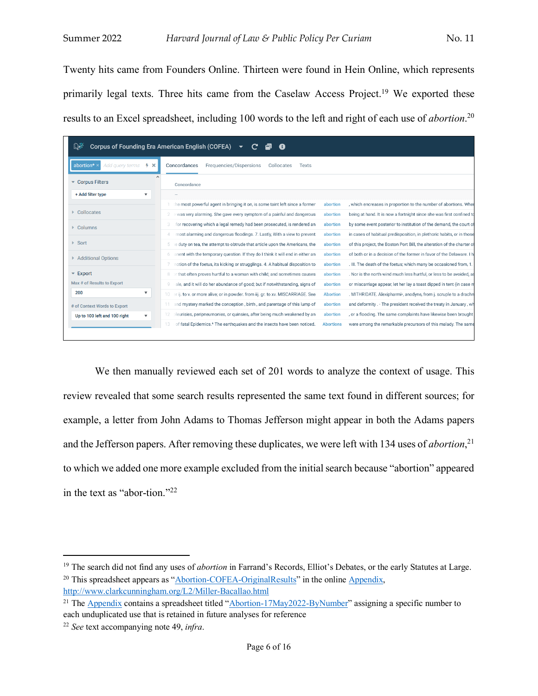Twenty hits came from Founders Online. Thirteen were found in Hein Online, which represents primarily legal texts. Three hits came from the Caselaw Access Project.<sup>19</sup> We exported these results to an Excel spreadsheet, including 100 words to the left and right of each use of *abortion*. 20

| ₽₹<br>Corpus of Founding Era American English (COFEA)   |                                                                                                                                                                           |  |  |  |  |
|---------------------------------------------------------|---------------------------------------------------------------------------------------------------------------------------------------------------------------------------|--|--|--|--|
| Add query terms<br>$5 \times$<br>abortion*              | Concordances<br>Frequencies/Dispersions<br>Collocates<br><b>Texts</b>                                                                                                     |  |  |  |  |
| <b>Corpus Filters</b>                                   | Concordance                                                                                                                                                               |  |  |  |  |
| + Add filter type<br>$\blacktriangledown$               |                                                                                                                                                                           |  |  |  |  |
|                                                         | he most powerful agent in bringing it on, is some taint left since a former<br>, which encreases in proportion to the number of abortions. Wher<br>abortion               |  |  |  |  |
| <b>Collocates</b>                                       | being at hand. It is now a fortnight since she was first confined to<br>was very alarming. She gave every symptom of a painful and dangerous<br>abortion                  |  |  |  |  |
| Columns                                                 | for recovering which a legal remedy had been prosecuted, is rendered an<br>by some event posterior to institution of the demand, the court of<br>abortion                 |  |  |  |  |
|                                                         | most alarming and dangerous floodings. 7. Lastly, With a view to prevent<br>in cases of habitual predisposition, in plethoric habits, or in those<br>abortion             |  |  |  |  |
| Sort                                                    | of this project, the Boston Port Bill, the alteration of the charter o<br>e duty on tea, the attempt to obtrude that article upon the Americans, the<br>abortion          |  |  |  |  |
| <b>Additional Options</b>                               | of both or in a decision of the former in favor of the Delaware. I h<br>anent with the temporary question. If they do I think it will end in either an<br>abortion        |  |  |  |  |
|                                                         | . III. The death of the foetus; which many be occasioned from, 1.<br>notion of the foetus, its kicking or strugglings. 4. A habitual disposition to<br>abortion           |  |  |  |  |
| $\overline{\phantom{a}}$ Export                         | or that often proves hurtful to a woman with child; and sometimes causes<br>. Nor is the north wind much less hurtful, or less to be avoided, as<br>abortion              |  |  |  |  |
| Max # of Results to Export                              | ale, and it will do her abundance of good; but if notwithstanding, signs of<br>or miscarriage appear, let her lay a toast dipped in tent (in case n<br>abortion           |  |  |  |  |
| 200<br>$\overline{\mathbf{v}}$                          | 10 er ij. to v. or more alive; or in powder. from iij. gr. to xv. MISCARRIAGE. See<br><b>Abortion</b><br>. MITHRIDATE. Alexipharmi•, anodyne, from j. scruple to a drachn |  |  |  |  |
| # of Context Words to Export                            | and deformity . - The president received the treaty in January, wh<br>and mystery marked the conception, birth, and parentage of this lump of<br>abortion                 |  |  |  |  |
| Up to 100 left and 100 right<br>$\overline{\mathbf{v}}$ | leurisies, peripneumonies, or quinsies, after being much weakened by an<br>, or a flooding. The same complaints have likewise been brought<br>abortion<br>12              |  |  |  |  |
|                                                         | of fatal Epidemics.* The earthquakes and the insects have been noticed.<br>were among the remarkable precursors of this malady. The same<br><b>Abortions</b><br>13        |  |  |  |  |

We then manually reviewed each set of 201 words to analyze the context of usage. This review revealed that some search results represented the same text found in different sources; for example, a letter from John Adams to Thomas Jefferson might appear in both the Adams papers and the Jefferson papers. After removing these duplicates, we were left with 134 uses of *abortion*, 21 to which we added one more example excluded from the initial search because "abortion" appeared in the text as "abor-tion."22

 $\overline{\phantom{a}}$ 

<sup>&</sup>lt;sup>19</sup> The search did not find any uses of *abortion* in Farrand's Records, Elliot's Debates, or the early Statutes at Large. <sup>20</sup> This spreadsheet appears as "Abortion-COFEA-OriginalResults" in the online Appendix, http://www.clarkcunningham.org/L2/Miller-Bacallao.html

<sup>&</sup>lt;sup>21</sup> The Appendix contains a spreadsheet titled "Abortion-17May2022-ByNumber" assigning a specific number to each unduplicated use that is retained in future analyses for reference

<sup>22</sup> *See* text accompanying note 49, *infra*.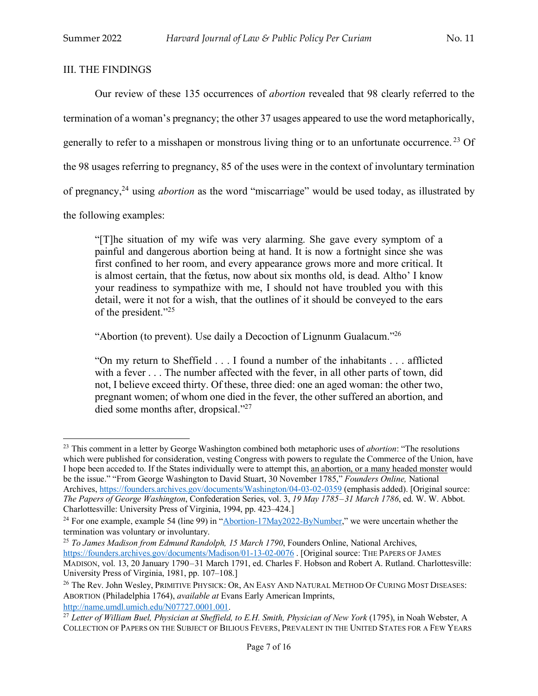## III. THE FINDINGS

Our review of these 135 occurrences of *abortion* revealed that 98 clearly referred to the termination of a woman's pregnancy; the other 37 usages appeared to use the word metaphorically, generally to refer to a misshapen or monstrous living thing or to an unfortunate occurrence.<sup>23</sup> Of the 98 usages referring to pregnancy, 85 of the uses were in the context of involuntary termination of pregnancy,24 using *abortion* as the word "miscarriage" would be used today, as illustrated by the following examples:

"[T]he situation of my wife was very alarming. She gave every symptom of a painful and dangerous abortion being at hand. It is now a fortnight since she was first confined to her room, and every appearance grows more and more critical. It is almost certain, that the fœtus, now about six months old, is dead. Altho' I know your readiness to sympathize with me, I should not have troubled you with this detail, were it not for a wish, that the outlines of it should be conveyed to the ears of the president."25

"Abortion (to prevent). Use daily a Decoction of Lignunm Gualacum."26

"On my return to Sheffield . . . I found a number of the inhabitants . . . afflicted with a fever . . . The number affected with the fever, in all other parts of town, did not, I believe exceed thirty. Of these, three died: one an aged woman: the other two, pregnant women; of whom one died in the fever, the other suffered an abortion, and died some months after, dropsical."<sup>27</sup>

<sup>23</sup> This comment in a letter by George Washington combined both metaphoric uses of *abortion*: "The resolutions which were published for consideration, vesting Congress with powers to regulate the Commerce of the Union, have I hope been acceded to. If the States individually were to attempt this, an abortion, or a many headed monster would be the issue." "From George Washington to David Stuart, 30 November 1785," *Founders Online,* National Archives, https://founders.archives.gov/documents/Washington/04-03-02-0359 (emphasis added). [Original source: *The Papers of George Washington*, Confederation Series, vol. 3, *19 May 1785–31 March 1786*, ed. W. W. Abbot. Charlottesville: University Press of Virginia, 1994, pp. 423–424.]

<sup>&</sup>lt;sup>24</sup> For one example, example 54 (line 99) in "Abortion-17May2022-ByNumber," we were uncertain whether the termination was voluntary or involuntary.

<sup>25</sup> *To James Madison from Edmund Randolph, 15 March 1790*, Founders Online, National Archives, https://founders.archives.gov/documents/Madison/01-13-02-0076 . [Original source: THE PAPERS OF JAMES MADISON, vol. 13, 20 January 1790–31 March 1791, ed. Charles F. Hobson and Robert A. Rutland. Charlottesville: University Press of Virginia, 1981, pp. 107–108.]

<sup>&</sup>lt;sup>26</sup> The Rev. John Wesley, PRIMITIVE PHYSICK: OR, AN EASY AND NATURAL METHOD OF CURING MOST DISEASES: ABORTION (Philadelphia 1764), *available at* Evans Early American Imprints,

<sup>&</sup>lt;sup>27</sup> Letter of William Buel, Physician at Sheffield, to E.H. Smith, Physician of New York (1795), in Noah Webster, A COLLECTION OF PAPERS ON THE SUBJECT OF BILIOUS FEVERS, PREVALENT IN THE UNITED STATES FOR A FEW YEARS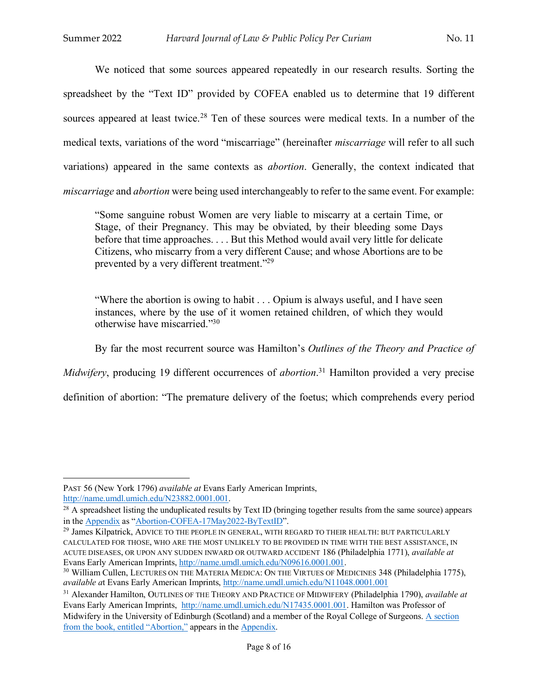We noticed that some sources appeared repeatedly in our research results. Sorting the spreadsheet by the "Text ID" provided by COFEA enabled us to determine that 19 different sources appeared at least twice.<sup>28</sup> Ten of these sources were medical texts. In a number of the medical texts, variations of the word "miscarriage" (hereinafter *miscarriage* will refer to all such variations) appeared in the same contexts as *abortion*. Generally, the context indicated that *miscarriage* and *abortion* were being used interchangeably to refer to the same event. For example:

"Some sanguine robust Women are very liable to miscarry at a certain Time, or Stage, of their Pregnancy. This may be obviated, by their bleeding some Days before that time approaches. . . . But this Method would avail very little for delicate Citizens, who miscarry from a very different Cause; and whose Abortions are to be prevented by a very different treatment."29

"Where the abortion is owing to habit . . . Opium is always useful, and I have seen instances, where by the use of it women retained children, of which they would otherwise have miscarried."30

By far the most recurrent source was Hamilton's *Outlines of the Theory and Practice of* 

*Midwifery*, producing 19 different occurrences of *abortion*. <sup>31</sup> Hamilton provided a very precise

definition of abortion: "The premature delivery of the foetus; which comprehends every period

PAST 56 (New York 1796) *available at* Evans Early American Imprints,

http://name.umdl.umich.edu/N23882.0001.001.<br><sup>28</sup> A spreadsheet listing the unduplicated results by Text ID (bringing together results from the same source) appears in the Appendix as "Abortion-COFEA-17May2022-ByTextID".

<sup>&</sup>lt;sup>29</sup> James Kilpatrick, ADVICE TO THE PEOPLE IN GENERAL, WITH REGARD TO THEIR HEALTH: BUT PARTICULARLY CALCULATED FOR THOSE, WHO ARE THE MOST UNLIKELY TO BE PROVIDED IN TIME WITH THE BEST ASSISTANCE, IN ACUTE DISEASES, OR UPON ANY SUDDEN INWARD OR OUTWARD ACCIDENT 186 (Philadelphia 1771), *available at*

<sup>&</sup>lt;sup>30</sup> William Cullen, LECTURES ON THE MATERIA MEDICA: ON THE VIRTUES OF MEDICINES 348 (Philadelphia 1775), *available a*t Evans Early American Imprints, http://name.umdl.umich.edu/N11048.0001.001

<sup>31</sup> Alexander Hamilton, OUTLINES OF THE THEORY AND PRACTICE OF MIDWIFERY (Philadelphia 1790), *available at* Evans Early American Imprints, http://name.umdl.umich.edu/N17435.0001.001. Hamilton was Professor of Midwifery in the University of Edinburgh (Scotland) and a member of the Royal College of Surgeons. A section from the book, entitled "Abortion," appears in the Appendix.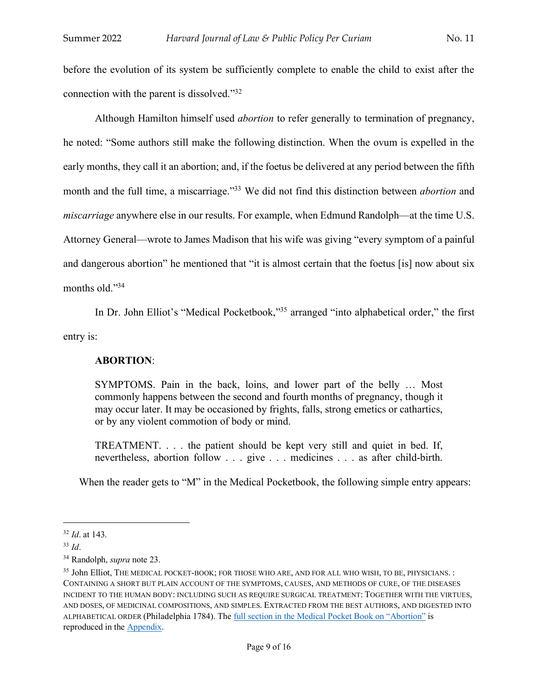before the evolution of its system be sufficiently complete to enable the child to exist after the connection with the parent is dissolved."32

Although Hamilton himself used *abortion* to refer generally to termination of pregnancy, he noted: "Some authors still make the following distinction. When the ovum is expelled in the early months, they call it an abortion; and, if the foetus be delivered at any period between the fifth month and the full time, a miscarriage."33 We did not find this distinction between *abortion* and *miscarriage* anywhere else in our results. For example, when Edmund Randolph—at the time U.S. Attorney General—wrote to James Madison that his wife was giving "every symptom of a painful and dangerous abortion" he mentioned that "it is almost certain that the foetus [is] now about six months old."34

In Dr. John Elliot's "Medical Pocketbook,"<sup>35</sup> arranged "into alphabetical order," the first

entry is:

## **ABORTION**:

SYMPTOMS. Pain in the back, loins, and lower part of the belly … Most commonly happens between the second and fourth months of pregnancy, though it may occur later. It may be occasioned by frights, falls, strong emetics or cathartics, or by any violent commotion of body or mind.

TREATMENT. . . . the patient should be kept very still and quiet in bed. If, nevertheless, abortion follow . . . give . . . medicines . . . as after child-birth.

When the reader gets to "M" in the Medical Pocketbook, the following simple entry appears:

 $\overline{\phantom{a}}$ 

<sup>32</sup> *Id*. at 143.

<sup>33</sup> *Id*.

<sup>34</sup> Randolph, *supra* note 23.

<sup>35</sup> John Elliot, THE MEDICAL POCKET-BOOK; FOR THOSE WHO ARE, AND FOR ALL WHO WISH, TO BE, PHYSICIANS. : CONTAINING A SHORT BUT PLAIN ACCOUNT OF THE SYMPTOMS, CAUSES, AND METHODS OF CURE, OF THE DISEASES INCIDENT TO THE HUMAN BODY: INCLUDING SUCH AS REQUIRE SURGICAL TREATMENT: TOGETHER WITH THE VIRTUES, AND DOSES, OF MEDICINAL COMPOSITIONS, AND SIMPLES. EXTRACTED FROM THE BEST AUTHORS, AND DIGESTED INTO ALPHABETICAL ORDER (Philadelphia 1784). The full section in the Medical Pocket Book on "Abortion" is reproduced in the Appendix.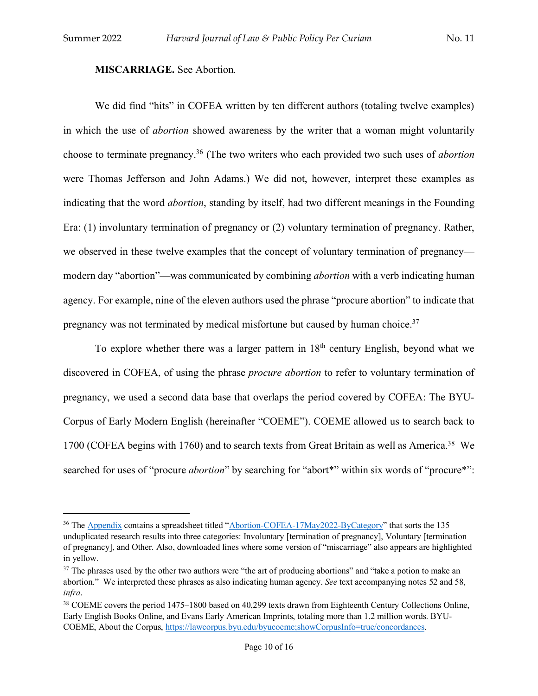$\overline{a}$ 

## **MISCARRIAGE.** See Abortion.

We did find "hits" in COFEA written by ten different authors (totaling twelve examples) in which the use of *abortion* showed awareness by the writer that a woman might voluntarily choose to terminate pregnancy.36 (The two writers who each provided two such uses of *abortion* were Thomas Jefferson and John Adams.) We did not, however, interpret these examples as indicating that the word *abortion*, standing by itself, had two different meanings in the Founding Era: (1) involuntary termination of pregnancy or (2) voluntary termination of pregnancy. Rather, we observed in these twelve examples that the concept of voluntary termination of pregnancy modern day "abortion"—was communicated by combining *abortion* with a verb indicating human agency. For example, nine of the eleven authors used the phrase "procure abortion" to indicate that pregnancy was not terminated by medical misfortune but caused by human choice.37

To explore whether there was a larger pattern in  $18<sup>th</sup>$  century English, beyond what we discovered in COFEA, of using the phrase *procure abortion* to refer to voluntary termination of pregnancy, we used a second data base that overlaps the period covered by COFEA: The BYU-Corpus of Early Modern English (hereinafter "COEME"). COEME allowed us to search back to 1700 (COFEA begins with 1760) and to search texts from Great Britain as well as America.<sup>38</sup> We searched for uses of "procure *abortion*" by searching for "abort\*" within six words of "procure\*":

<sup>&</sup>lt;sup>36</sup> The Appendix contains a spreadsheet titled "Abortion-COFEA-17May2022-ByCategory" that sorts the 135 unduplicated research results into three categories: Involuntary [termination of pregnancy], Voluntary [termination of pregnancy], and Other. Also, downloaded lines where some version of "miscarriage" also appears are highlighted in yellow.

<sup>&</sup>lt;sup>37</sup> The phrases used by the other two authors were "the art of producing abortions" and "take a potion to make an abortion." We interpreted these phrases as also indicating human agency. *See* text accompanying notes 52 and 58, *infra*.

<sup>&</sup>lt;sup>38</sup> COEME covers the period 1475–1800 based on 40,299 texts drawn from Eighteenth Century Collections Online, Early English Books Online, and Evans Early American Imprints, totaling more than 1.2 million words. BYU-COEME, About the Corpus, https://lawcorpus.byu.edu/byucoeme;showCorpusInfo=true/concordances.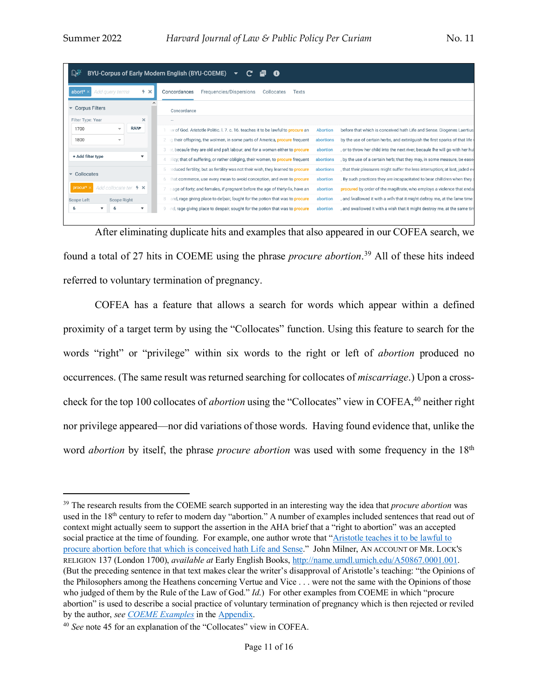| $\mathbb{D}^{\mathbb{N}}$<br>BYU-Corpus of Early Modern English (BYU-COEME)<br>ø |                                                                                                                                                                              |  |  |  |  |
|----------------------------------------------------------------------------------|------------------------------------------------------------------------------------------------------------------------------------------------------------------------------|--|--|--|--|
| abort*<br>Add guery terms<br>5 ×                                                 | Concordances<br>Frequencies/Dispersions<br>Collocates<br><b>Texts</b>                                                                                                        |  |  |  |  |
| <b>Corpus Filters</b>                                                            | Concordance                                                                                                                                                                  |  |  |  |  |
| Filter Type: Year<br>$\boldsymbol{\times}$                                       |                                                                                                                                                                              |  |  |  |  |
| <b>RANT</b><br>1700                                                              | w of God. Aristotle Politic. I. 7. c. 16. teaches it to be lawful to procure an<br>before that which is conceived hath Life and Sense. Diogenes Laertius<br><b>Abortion</b>  |  |  |  |  |
| 1800<br>v                                                                        | g their offspring, the wolmen, in some parts of America, procure frequent<br>by the use of certain herbs, and extiniquish the first sparks of that life<br>abortions         |  |  |  |  |
|                                                                                  | , or to throw her child into the next river, becaufe fhe will go with her hu<br>becaufe they are old and paft labour; and for a woman either to procure<br>abortion          |  |  |  |  |
| + Add filter type<br>$\overline{\mathbf{v}}$                                     | licy; that of suffering, or rather obliging, their women, to <b>procure</b> frequent<br>, by the use of a certain herb; that they may, in some measure, be ease<br>abortions |  |  |  |  |
|                                                                                  | reduced fertility; but as fertility was not their wish, they learned to procure<br>, that their pleasures might suffer the less interruption; at last, jaded ev<br>abortions |  |  |  |  |
| Collocates<br>$\overline{\phantom{a}}$                                           | . By such practices they are incapacitated to bear chilldren when they<br>that commerce, use every mean to avoid conception, and even to procure<br>abortion                 |  |  |  |  |
| Add collocate ter. $\frac{1}{2}$ $\times$<br>procur*                             | procured by order of the magiftrate, who employs a violence that endal<br>age of forty; and females, if pregnant before the age of thirty-fix, have an<br>abortion           |  |  |  |  |
| <b>Scope Left</b><br><b>Scope Right</b>                                          | , and fwallowed it with a wifh that it might deftroy me, at the fame time<br>and, rage giving place to delpair, lought for the potion that was to procure<br>abortion        |  |  |  |  |
| 6<br>▼<br>$\blacktriangledown$<br>6                                              | nd, rage giving place to despair, sought for the potion that was to procure<br>, and swallowed it with a wish that it might destroy me, at the same tin<br>abortion<br>9.    |  |  |  |  |

After eliminating duplicate hits and examples that also appeared in our COFEA search, we found a total of 27 hits in COEME using the phrase *procure abortion*. <sup>39</sup> All of these hits indeed referred to voluntary termination of pregnancy.

COFEA has a feature that allows a search for words which appear within a defined proximity of a target term by using the "Collocates" function. Using this feature to search for the words "right" or "privilege" within six words to the right or left of *abortion* produced no occurrences. (The same result was returned searching for collocates of *miscarriage*.) Upon a crosscheck for the top 100 collocates of *abortion* using the "Collocates" view in COFEA, <sup>40</sup> neither right nor privilege appeared—nor did variations of those words. Having found evidence that, unlike the word *abortion* by itself, the phrase *procure abortion* was used with some frequency in the 18<sup>th</sup>

<sup>39</sup> The research results from the COEME search supported in an interesting way the idea that *procure abortion* was used in the 18<sup>th</sup> century to refer to modern day "abortion." A number of examples included sentences that read out of context might actually seem to support the assertion in the AHA brief that a "right to abortion" was an accepted social practice at the time of founding. For example, one author wrote that "Aristotle teaches it to be lawful to procure abortion before that which is conceived hath Life and Sense." John Milner, AN ACCOUNT OF MR. LOCK'S RELIGION 137 (London 1700), *available at* Early English Books, http://name.umdl.umich.edu/A50867.0001.001. (But the preceding sentence in that text makes clear the writer's disapproval of Aristotle's teaching: "the Opinions of the Philosophers among the Heathens concerning Vertue and Vice . . . were not the same with the Opinions of those who judged of them by the Rule of the Law of God." *Id*.) For other examples from COEME in which "procure abortion" is used to describe a social practice of voluntary termination of pregnancy which is then rejected or reviled by the author, *see COEME Examples* in the Appendix.

<sup>40</sup> *See* note 45 for an explanation of the "Collocates" view in COFEA.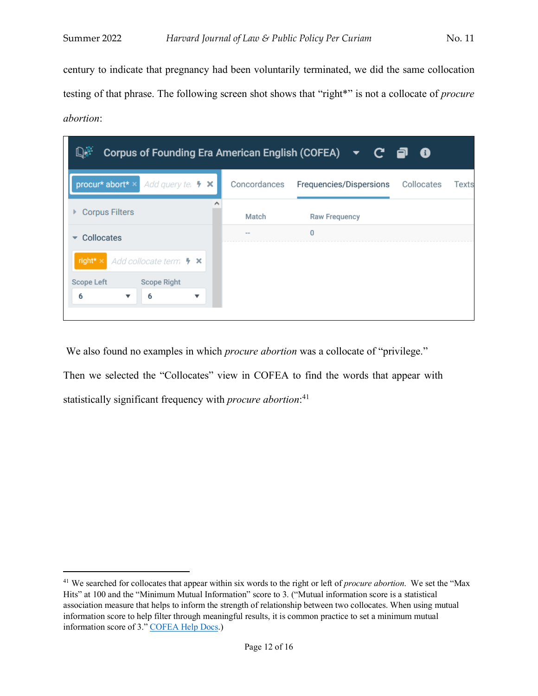$\overline{a}$ 

century to indicate that pregnancy had been voluntarily terminated, we did the same collocation testing of that phrase. The following screen shot shows that "right\*" is not a collocate of *procure abortion*:

| D.<br>Corpus of Founding Era American English (COFEA)<br>▼ C @ O                    |              |                         |                     |  |  |
|-------------------------------------------------------------------------------------|--------------|-------------------------|---------------------|--|--|
| procur* abort* ×<br>Add query tel $\bullet \times$                                  | Concordances | Frequencies/Dispersions | Collocates<br>Texts |  |  |
| <b>Corpus Filters</b>                                                               | Match        | <b>Raw Frequency</b>    |                     |  |  |
| Collocates                                                                          | $\sim$ $-$   | $\bf{0}$                |                     |  |  |
| right* $\times$<br>$\blacksquare$ Add collocate term $\blacktriangleright$ $\times$ |              |                         |                     |  |  |
| <b>Scope Left</b><br>Scope Right                                                    |              |                         |                     |  |  |
| 6<br>6<br>$\overline{\mathbf{v}}$<br>▼                                              |              |                         |                     |  |  |
|                                                                                     |              |                         |                     |  |  |

We also found no examples in which *procure abortion* was a collocate of "privilege." Then we selected the "Collocates" view in COFEA to find the words that appear with statistically significant frequency with *procure abortion*: 41

<sup>41</sup> We searched for collocates that appear within six words to the right or left of *procure abortion*. We set the "Max Hits" at 100 and the "Minimum Mutual Information" score to 3. ("Mutual information score is a statistical association measure that helps to inform the strength of relationship between two collocates. When using mutual information score to help filter through meaningful results, it is common practice to set a minimum mutual information score of 3." COFEA Help Docs.)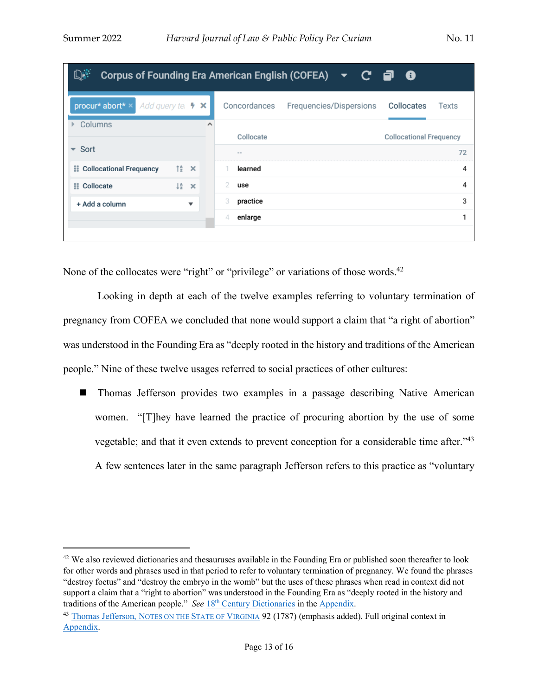| D.<br>Corpus of Founding Era American English (COFEA)<br>c a<br>- 0<br>$\blacktriangledown$ |                                 |   |               |                         |                                |  |
|---------------------------------------------------------------------------------------------|---------------------------------|---|---------------|-------------------------|--------------------------------|--|
| procur* abort* ×<br>Add query te. $\bullet \times$                                          |                                 |   | Concordances  | Frequencies/Dispersions | Collocates<br>Texts            |  |
| Columns                                                                                     |                                 | ∧ | Collocate     |                         | <b>Collocational Frequency</b> |  |
| Sort<br>$\overline{\phantom{a}}$                                                            |                                 |   | $- -$         |                         | 72                             |  |
| <b>ii</b> Collocational Frequency                                                           | $\uparrow \frac{A}{2}$ $\times$ |   | learned       |                         | 4                              |  |
| <b>ii</b> Collocate                                                                         | $l^A$ $\times$                  |   | 2<br>use      |                         | 4                              |  |
| + Add a column                                                                              | $\overline{\mathbf{v}}$         |   | 3<br>practice |                         | 3                              |  |
|                                                                                             |                                 |   | enlarge<br>4  |                         |                                |  |
|                                                                                             |                                 |   |               |                         |                                |  |

None of the collocates were "right" or "privilege" or variations of those words.<sup>42</sup>

Looking in depth at each of the twelve examples referring to voluntary termination of pregnancy from COFEA we concluded that none would support a claim that "a right of abortion" was understood in the Founding Era as "deeply rooted in the history and traditions of the American people." Nine of these twelve usages referred to social practices of other cultures:

■ Thomas Jefferson provides two examples in a passage describing Native American women. "[T]hey have learned the practice of procuring abortion by the use of some vegetable; and that it even extends to prevent conception for a considerable time after."43 A few sentences later in the same paragraph Jefferson refers to this practice as "voluntary

<sup>&</sup>lt;sup>42</sup> We also reviewed dictionaries and thesauruses available in the Founding Era or published soon thereafter to look for other words and phrases used in that period to refer to voluntary termination of pregnancy. We found the phrases "destroy foetus" and "destroy the embryo in the womb" but the uses of these phrases when read in context did not support a claim that a "right to abortion" was understood in the Founding Era as "deeply rooted in the history and traditions of the American people." *See* 18th Century Dictionaries in the Appendix.

<sup>&</sup>lt;sup>43</sup> Thomas Jefferson, NOTES ON THE STATE OF VIRGINIA 92 (1787) (emphasis added). Full original context in Appendix.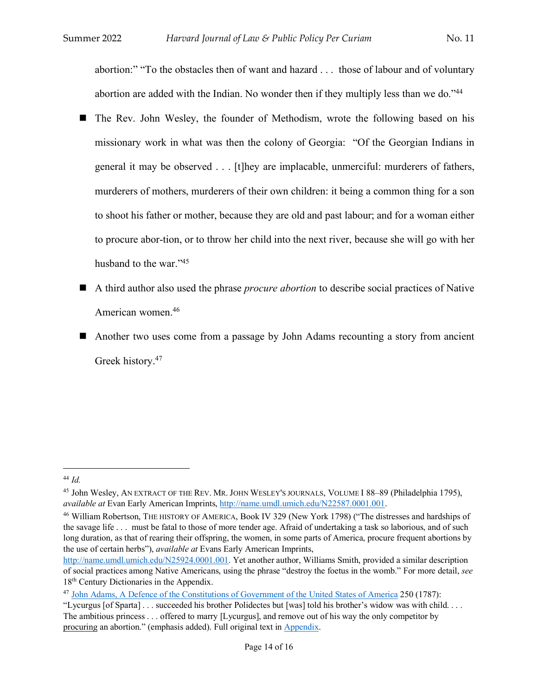abortion:" "To the obstacles then of want and hazard . . . those of labour and of voluntary abortion are added with the Indian. No wonder then if they multiply less than we do."44

- The Rev. John Wesley, the founder of Methodism, wrote the following based on his missionary work in what was then the colony of Georgia: "Of the Georgian Indians in general it may be observed . . . [t]hey are implacable, unmerciful: murderers of fathers, murderers of mothers, murderers of their own children: it being a common thing for a son to shoot his father or mother, because they are old and past labour; and for a woman either to procure abor-tion, or to throw her child into the next river, because she will go with her husband to the war."<sup>45</sup>
- n A third author also used the phrase *procure abortion* to describe social practices of Native American women.46
- Another two uses come from a passage by John Adams recounting a story from ancient Greek history.<sup>47</sup>

l

<sup>44</sup> *Id.*

<sup>45</sup> John Wesley, AN EXTRACT OF THE REV. MR. JOHN WESLEY'S JOURNALS, VOLUME I 88–89 (Philadelphia 1795), *available at* Evan Early American Imprints, http://name.umdl.umich.edu/N22587.0001.001.

<sup>46</sup> William Robertson, THE HISTORY OF AMERICA, Book IV 329 (New York 1798) ("The distresses and hardships of the savage life . . . must be fatal to those of more tender age. Afraid of undertaking a task so laborious, and of such long duration, as that of rearing their offspring, the women, in some parts of America, procure frequent abortions by the use of certain herbs"), *available at* Evans Early American Imprints,

http://name.umdl.umich.edu/N25924.0001.001. Yet another author, Williams Smith, provided a similar description of social practices among Native Americans, using the phrase "destroy the foetus in the womb." For more detail, *see* 18th Century Dictionaries in the Appendix.

<sup>&</sup>lt;sup>47</sup> John Adams, A Defence of the Constitutions of Government of the United States of America 250 (1787):

<sup>&</sup>quot;Lycurgus [of Sparta] . . . succeeded his brother Polidectes but [was] told his brother's widow was with child. . . . The ambitious princess . . . offered to marry [Lycurgus], and remove out of his way the only competitor by procuring an abortion." (emphasis added). Full original text in Appendix.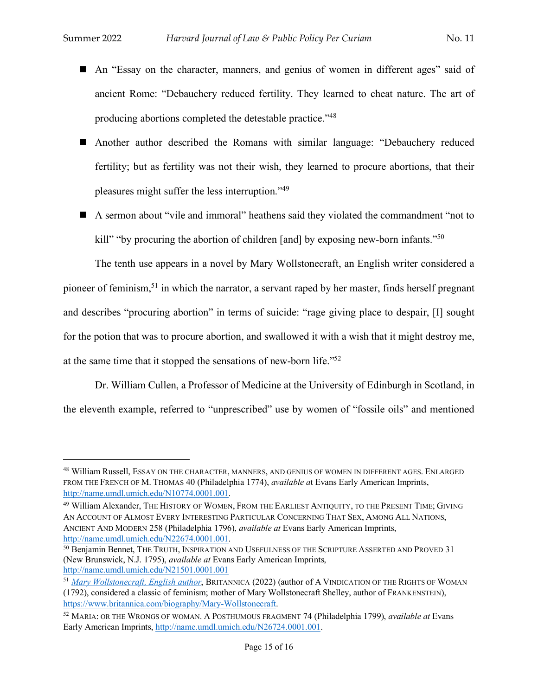- An "Essay on the character, manners, and genius of women in different ages" said of ancient Rome: "Debauchery reduced fertility. They learned to cheat nature. The art of producing abortions completed the detestable practice."48
- n Another author described the Romans with similar language: "Debauchery reduced fertility; but as fertility was not their wish, they learned to procure abortions, that their pleasures might suffer the less interruption."49
- A sermon about "vile and immoral" heathens said they violated the commandment "not to kill" "by procuring the abortion of children [and] by exposing new-born infants."<sup>50</sup>

The tenth use appears in a novel by Mary Wollstonecraft, an English writer considered a pioneer of feminism,51 in which the narrator, a servant raped by her master, finds herself pregnant and describes "procuring abortion" in terms of suicide: "rage giving place to despair, [I] sought for the potion that was to procure abortion, and swallowed it with a wish that it might destroy me, at the same time that it stopped the sensations of new-born life."52

Dr. William Cullen, a Professor of Medicine at the University of Edinburgh in Scotland, in the eleventh example, referred to "unprescribed" use by women of "fossile oils" and mentioned

<sup>48</sup> William Russell, ESSAY ON THE CHARACTER, MANNERS, AND GENIUS OF WOMEN IN DIFFERENT AGES. ENLARGED FROM THE FRENCH OF M. THOMAS 40 (Philadelphia 1774), *available a*t Evans Early American Imprints, http://name.umdl.umich.edu/N10774.0001.001.

<sup>49</sup> William Alexander, THE HISTORY OF WOMEN, FROM THE EARLIEST ANTIQUITY, TO THE PRESENT TIME; GIVING AN ACCOUNT OF ALMOST EVERY INTERESTING PARTICULAR CONCERNING THAT SEX, AMONG ALL NATIONS, ANCIENT AND MODERN 258 (Philadelphia 1796), *available at* Evans Early American Imprints, http://name.umdl.umich.edu/N22674.0001.001.<br><sup>50</sup> Benjamin Bennet, THE TRUTH, INSPIRATION AND USEFULNESS OF THE SCRIPTURE ASSERTED AND PROVED 31

<sup>(</sup>New Brunswick, N.J. 1795), *available at* Evans Early American Imprints, http://name.umdl.umich.edu/N21501.0001.001

<sup>51</sup> *Mary Wollstonecraft, English author*, BRITANNICA (2022) (author of A VINDICATION OF THE RIGHTS OF WOMAN (1792), considered a classic of feminism; mother of Mary Wollstonecraft Shelley, author of FRANKENSTEIN), https://www.britannica.com/biography/Mary-Wollstonecraft.

<sup>52</sup> MARIA: OR THE WRONGS OF WOMAN. A POSTHUMOUS FRAGMENT 74 (Philadelphia 1799), *available at* Evans Early American Imprints, http://name.umdl.umich.edu/N26724.0001.001.